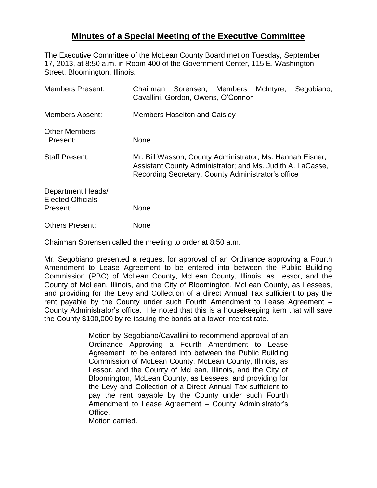## **Minutes of a Special Meeting of the Executive Committee**

The Executive Committee of the McLean County Board met on Tuesday, September 17, 2013, at 8:50 a.m. in Room 400 of the Government Center, 115 E. Washington Street, Bloomington, Illinois.

| <b>Members Present:</b>                                   | Chairman Sorensen, Members McIntyre,<br>Segobiano,<br>Cavallini, Gordon, Owens, O'Connor                                                                                      |
|-----------------------------------------------------------|-------------------------------------------------------------------------------------------------------------------------------------------------------------------------------|
| <b>Members Absent:</b>                                    | <b>Members Hoselton and Caisley</b>                                                                                                                                           |
| <b>Other Members</b><br>Present:                          | <b>None</b>                                                                                                                                                                   |
| <b>Staff Present:</b>                                     | Mr. Bill Wasson, County Administrator; Ms. Hannah Eisner,<br>Assistant County Administrator; and Ms. Judith A. LaCasse,<br>Recording Secretary, County Administrator's office |
| Department Heads/<br><b>Elected Officials</b><br>Present: | None                                                                                                                                                                          |
| <b>Others Present:</b>                                    | None                                                                                                                                                                          |

Chairman Sorensen called the meeting to order at 8:50 a.m.

Mr. Segobiano presented a request for approval of an Ordinance approving a Fourth Amendment to Lease Agreement to be entered into between the Public Building Commission (PBC) of McLean County, McLean County, Illinois, as Lessor, and the County of McLean, Illinois, and the City of Bloomington, McLean County, as Lessees, and providing for the Levy and Collection of a direct Annual Tax sufficient to pay the rent payable by the County under such Fourth Amendment to Lease Agreement – County Administrator's office. He noted that this is a housekeeping item that will save the County \$100,000 by re-issuing the bonds at a lower interest rate.

> Motion by Segobiano/Cavallini to recommend approval of an Ordinance Approving a Fourth Amendment to Lease Agreement to be entered into between the Public Building Commission of McLean County, McLean County, Illinois, as Lessor, and the County of McLean, Illinois, and the City of Bloomington, McLean County, as Lessees, and providing for the Levy and Collection of a Direct Annual Tax sufficient to pay the rent payable by the County under such Fourth Amendment to Lease Agreement – County Administrator's Office.

Motion carried.